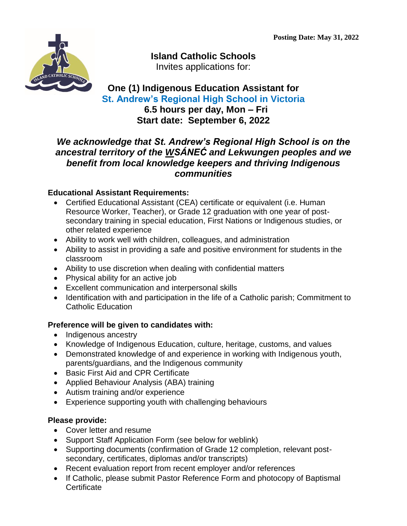

**Island Catholic Schools** Invites applications for:

# **One (1) Indigenous Education Assistant for St. Andrew's Regional High School in Victoria**

 **6.5 hours per day, Mon – Fri Start date: September 6, 2022**

## *We acknowledge that St. Andrew's Regional High School is on the ancestral territory of the WSÁNEĆ and Lekwungen peoples and we benefit from local knowledge keepers and thriving Indigenous communities*

### **Educational Assistant Requirements:**

- Certified Educational Assistant (CEA) certificate or equivalent (i.e. Human Resource Worker, Teacher), or Grade 12 graduation with one year of postsecondary training in special education, First Nations or Indigenous studies, or other related experience
- Ability to work well with children, colleagues, and administration
- Ability to assist in providing a safe and positive environment for students in the classroom
- Ability to use discretion when dealing with confidential matters
- Physical ability for an active job
- Excellent communication and interpersonal skills
- Identification with and participation in the life of a Catholic parish; Commitment to Catholic Education

#### **Preference will be given to candidates with:**

- Indigenous ancestry
- Knowledge of Indigenous Education, culture, heritage, customs, and values
- Demonstrated knowledge of and experience in working with Indigenous youth, parents/guardians, and the Indigenous community
- Basic First Aid and CPR Certificate
- Applied Behaviour Analysis (ABA) training
- Autism training and/or experience
- Experience supporting youth with challenging behaviours

### **Please provide:**

- Cover letter and resume
- Support Staff Application Form (see below for weblink)
- Supporting documents (confirmation of Grade 12 completion, relevant postsecondary, certificates, diplomas and/or transcripts)
- Recent evaluation report from recent employer and/or references
- If Catholic, please submit Pastor Reference Form and photocopy of Baptismal **Certificate**